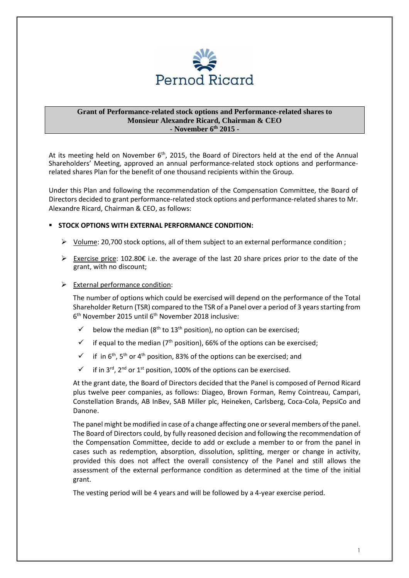

#### **Grant of Performance-related stock options and Performance-related shares to Monsieur Alexandre Ricard, Chairman & CEO - November 6th 2015 -**

At its meeting held on November 6<sup>th</sup>, 2015, the Board of Directors held at the end of the Annual Shareholders' Meeting, approved an annual performance-related stock options and performancerelated shares Plan for the benefit of one thousand recipients within the Group.

Under this Plan and following the recommendation of the Compensation Committee, the Board of Directors decided to grant performance-related stock options and performance-related shares to Mr. Alexandre Ricard, Chairman & CEO, as follows:

## **STOCK OPTIONS WITH EXTERNAL PERFORMANCE CONDITION:**

- > Volume: 20,700 stock options, all of them subject to an external performance condition ;
- > Exercise price: 102.80€ i.e. the average of the last 20 share prices prior to the date of the grant, with no discount;

## > External performance condition:

The number of options which could be exercised will depend on the performance of the Total Shareholder Return (TSR) compared to the TSR of a Panel over a period of 3 years starting from 6<sup>th</sup> November 2015 until 6<sup>th</sup> November 2018 inclusive:

- $\checkmark$  below the median (8<sup>th</sup> to 13<sup>th</sup> position), no option can be exercised:
- $\checkmark$  if equal to the median (7<sup>th</sup> position), 66% of the options can be exercised;
- $\checkmark$  if in 6<sup>th</sup>, 5<sup>th</sup> or 4<sup>th</sup> position, 83% of the options can be exercised; and
- $\checkmark$  if in 3<sup>rd</sup>, 2<sup>nd</sup> or 1<sup>st</sup> position, 100% of the options can be exercised.

At the grant date, the Board of Directors decided that the Panel is composed of Pernod Ricard plus twelve peer companies, as follows: Diageo, Brown Forman, Remy Cointreau, Campari, Constellation Brands, AB InBev, SAB Miller plc, Heineken, Carlsberg, Coca-Cola, PepsiCo and Danone.

The panel might be modified in case of a change affecting one or several members of the panel. The Board of Directors could, by fully reasoned decision and following the recommendation of the Compensation Committee, decide to add or exclude a member to or from the panel in cases such as redemption, absorption, dissolution, splitting, merger or change in activity, provided this does not affect the overall consistency of the Panel and still allows the assessment of the external performance condition as determined at the time of the initial grant.

The vesting period will be 4 years and will be followed by a 4-year exercise period.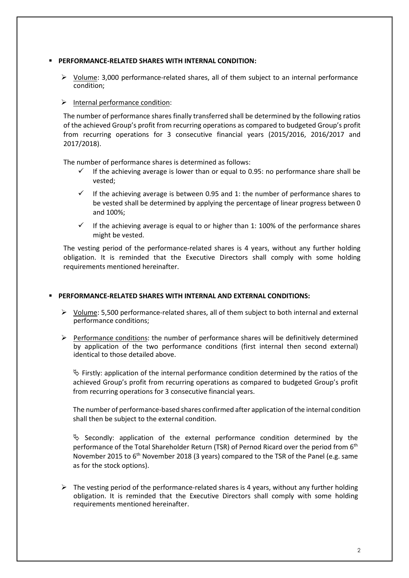#### **PERFORMANCE-RELATED SHARES WITH INTERNAL CONDITION:**

▶ Volume: 3,000 performance-related shares, all of them subject to an internal performance condition;

# > Internal performance condition:

The number of performance shares finally transferred shall be determined by the following ratios of the achieved Group's profit from recurring operations as compared to budgeted Group's profit from recurring operations for 3 consecutive financial years (2015/2016, 2016/2017 and 2017/2018).

The number of performance shares is determined as follows:

- If the achieving average is lower than or equal to 0.95: no performance share shall be vested;
- $\checkmark$  If the achieving average is between 0.95 and 1: the number of performance shares to be vested shall be determined by applying the percentage of linear progress between 0 and 100%;
- If the achieving average is equal to or higher than 1: 100% of the performance shares might be vested.

The vesting period of the performance-related shares is 4 years, without any further holding obligation. It is reminded that the Executive Directors shall comply with some holding requirements mentioned hereinafter.

#### **PERFORMANCE-RELATED SHARES WITH INTERNAL AND EXTERNAL CONDITIONS:**

- ▶ Volume: 5,500 performance-related shares, all of them subject to both internal and external performance conditions;
- Performance conditions: the number of performance shares will be definitively determined by application of the two performance conditions (first internal then second external) identical to those detailed above.

 $\&$  Firstly: application of the internal performance condition determined by the ratios of the achieved Group's profit from recurring operations as compared to budgeted Group's profit from recurring operations for 3 consecutive financial years.

The number of performance-based shares confirmed after application of the internal condition shall then be subject to the external condition.

 $\uparrow$  Secondly: application of the external performance condition determined by the performance of the Total Shareholder Return (TSR) of Pernod Ricard over the period from 6<sup>th</sup> November 2015 to 6<sup>th</sup> November 2018 (3 years) compared to the TSR of the Panel (e.g. same as for the stock options).

> The vesting period of the performance-related shares is 4 years, without any further holding obligation. It is reminded that the Executive Directors shall comply with some holding requirements mentioned hereinafter.